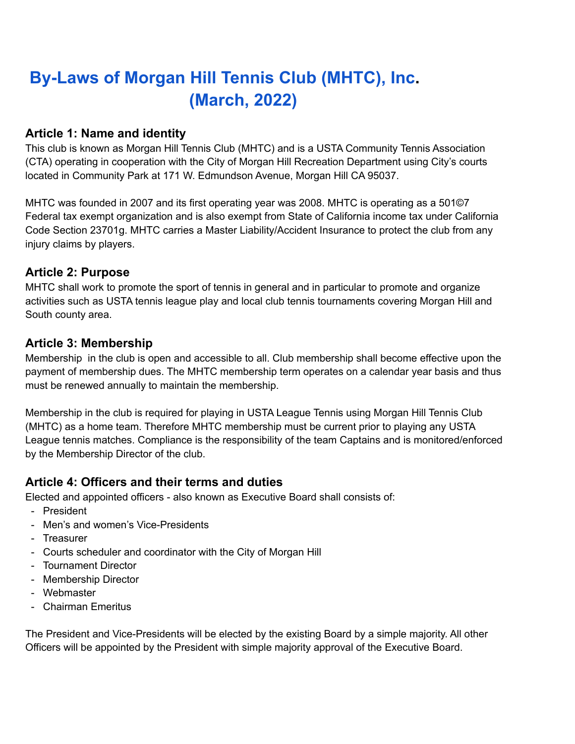# **By-Laws of Morgan Hill Tennis Club (MHTC), Inc. (March, 2022)**

#### **Article 1: Name and identity**

This club is known as Morgan Hill Tennis Club (MHTC) and is a USTA Community Tennis Association (CTA) operating in cooperation with the City of Morgan Hill Recreation Department using City's courts located in Community Park at 171 W. Edmundson Avenue, Morgan Hill CA 95037.

MHTC was founded in 2007 and its first operating year was 2008. MHTC is operating as a 501©7 Federal tax exempt organization and is also exempt from State of California income tax under California Code Section 23701g. MHTC carries a Master Liability/Accident Insurance to protect the club from any injury claims by players.

#### **Article 2: Purpose**

MHTC shall work to promote the sport of tennis in general and in particular to promote and organize activities such as USTA tennis league play and local club tennis tournaments covering Morgan Hill and South county area.

#### **Article 3: Membership**

Membership in the club is open and accessible to all. Club membership shall become effective upon the payment of membership dues. The MHTC membership term operates on a calendar year basis and thus must be renewed annually to maintain the membership.

Membership in the club is required for playing in USTA League Tennis using Morgan Hill Tennis Club (MHTC) as a home team. Therefore MHTC membership must be current prior to playing any USTA League tennis matches. Compliance is the responsibility of the team Captains and is monitored/enforced by the Membership Director of the club.

# **Article 4: Officers and their terms and duties**

Elected and appointed officers - also known as Executive Board shall consists of:

- President
- Men's and women's Vice-Presidents
- Treasurer
- Courts scheduler and coordinator with the City of Morgan Hill
- Tournament Director
- Membership Director
- Webmaster
- Chairman Emeritus

The President and Vice-Presidents will be elected by the existing Board by a simple majority. All other Officers will be appointed by the President with simple majority approval of the Executive Board.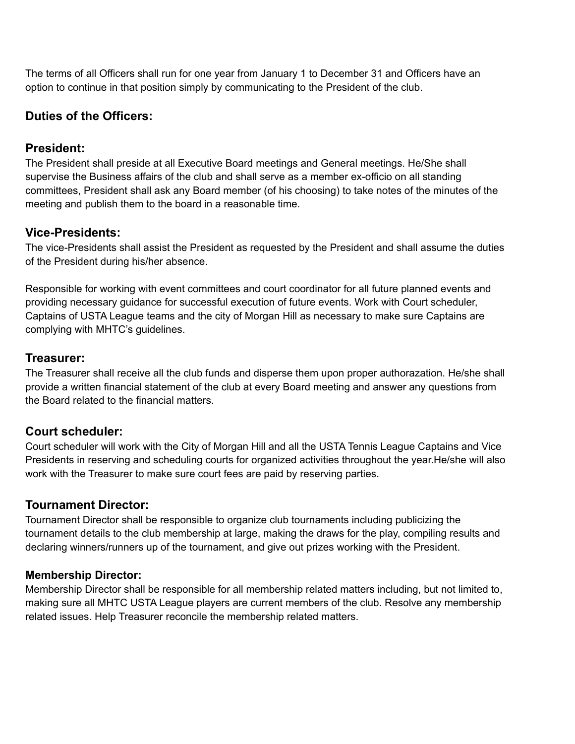The terms of all Officers shall run for one year from January 1 to December 31 and Officers have an option to continue in that position simply by communicating to the President of the club.

# **Duties of the Officers:**

# **President:**

The President shall preside at all Executive Board meetings and General meetings. He/She shall supervise the Business affairs of the club and shall serve as a member ex-officio on all standing committees, President shall ask any Board member (of his choosing) to take notes of the minutes of the meeting and publish them to the board in a reasonable time.

# **Vice-Presidents:**

The vice-Presidents shall assist the President as requested by the President and shall assume the duties of the President during his/her absence.

Responsible for working with event committees and court coordinator for all future planned events and providing necessary guidance for successful execution of future events. Work with Court scheduler, Captains of USTA League teams and the city of Morgan Hill as necessary to make sure Captains are complying with MHTC's guidelines.

# **Treasurer:**

The Treasurer shall receive all the club funds and disperse them upon proper authorazation. He/she shall provide a written financial statement of the club at every Board meeting and answer any questions from the Board related to the financial matters.

# **Court scheduler:**

Court scheduler will work with the City of Morgan Hill and all the USTA Tennis League Captains and Vice Presidents in reserving and scheduling courts for organized activities throughout the year.He/she will also work with the Treasurer to make sure court fees are paid by reserving parties.

# **Tournament Director:**

Tournament Director shall be responsible to organize club tournaments including publicizing the tournament details to the club membership at large, making the draws for the play, compiling results and declaring winners/runners up of the tournament, and give out prizes working with the President.

# **Membership Director:**

Membership Director shall be responsible for all membership related matters including, but not limited to, making sure all MHTC USTA League players are current members of the club. Resolve any membership related issues. Help Treasurer reconcile the membership related matters.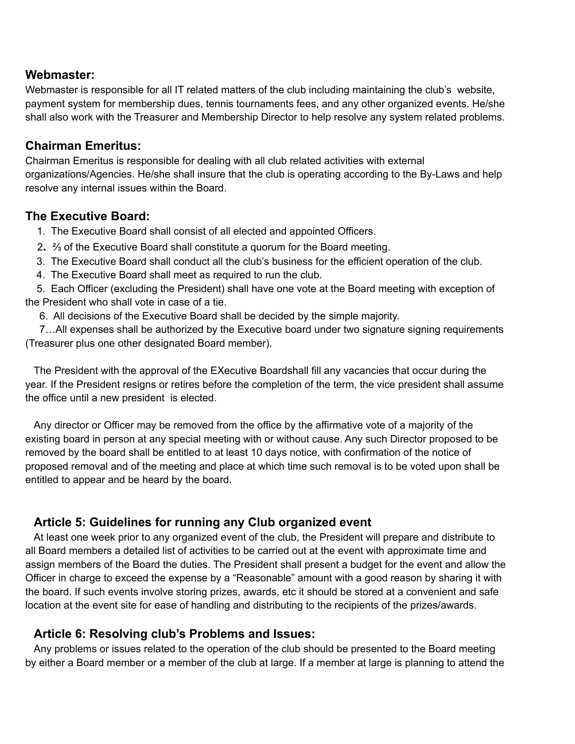#### **Webmaster:**

Webmaster is responsible for all IT related matters of the club including maintaining the club's website, payment system for membership dues, tennis tournaments fees, and any other organized events. He/she shall also work with the Treasurer and Membership Director to help resolve any system related problems.

#### **Chairman Emeritus:**

Chairman Emeritus is responsible for dealing with all club related activities with external organizations/Agencies. He/she shall insure that the club is operating according to the By-Laws and help resolve any internal issues within the Board.

#### **The Executive Board:**

1. The Executive Board shall consist of all elected and appointed Officers.

- 2**.** ⅔ of the Executive Board shall constitute a quorum for the Board meeting.
- 3. The Executive Board shall conduct all the club's business for the efficient operation of the club.
- 4. The Executive Board shall meet as required to run the club.

5. Each Officer (excluding the President) shall have one vote at the Board meeting with exception of the President who shall vote in case of a tie.

6. All decisions of the Executive Board shall be decided by the simple majority.

7…All expenses shall be authorized by the Executive board under two signature signing requirements (Treasurer plus one other designated Board member).

The President with the approval of the EXecutive Boardshall fill any vacancies that occur during the year. If the President resigns or retires before the completion of the term, the vice president shall assume the office until a new president is elected.

Any director or Officer may be removed from the office by the affirmative vote of a majority of the existing board in person at any special meeting with or without cause. Any such Director proposed to be removed by the board shall be entitled to at least 10 days notice, with confirmation of the notice of proposed removal and of the meeting and place at which time such removal is to be voted upon shall be entitled to appear and be heard by the board.

# **Article 5: Guidelines for running any Club organized event**

At least one week prior to any organized event of the club, the President will prepare and distribute to all Board members a detailed list of activities to be carried out at the event with approximate time and assign members of the Board the duties. The President shall present a budget for the event and allow the Officer in charge to exceed the expense by a "Reasonable" amount with a good reason by sharing it with the board. If such events involve storing prizes, awards, etc it should be stored at a convenient and safe location at the event site for ease of handling and distributing to the recipients of the prizes/awards.

# **Article 6: Resolving club's Problems and Issues:**

Any problems or issues related to the operation of the club should be presented to the Board meeting by either a Board member or a member of the club at large. If a member at large is planning to attend the